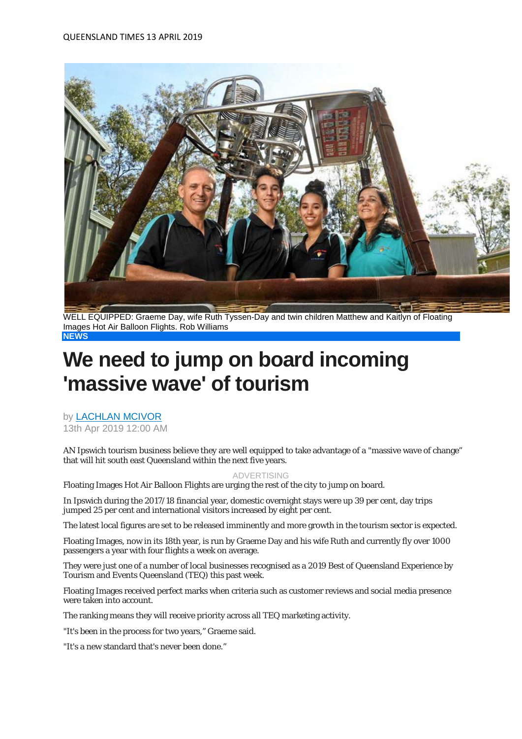

WELL EQUIPPED: Graeme Day, wife Ruth Tyssen-Day and twin children Matthew and Kaitlyn of Floating Images Hot Air Balloon Flights. Rob Williams **NEWS**

## **We need to jump on board incoming 'massive wave' of tourism**

by [LACHLAN MCIVOR](https://www.qt.com.au/profile/lmcivor/) 13th Apr 2019 12:00 AM

AN Ipswich tourism business believe they are well equipped to take advantage of a "massive wave of change" that will hit south east Queensland within the next five years.

## ADVERTISING

Floating Images Hot Air Balloon Flights are urging the rest of the city to jump on board.

In Ipswich during the 2017/18 financial year, domestic overnight stays were up 39 per cent, day trips jumped 25 per cent and international visitors increased by eight per cent.

The latest local figures are set to be released imminently and more growth in the tourism sector is expected.

Floating Images, now in its 18th year, is run by Graeme Day and his wife Ruth and currently fly over 1000 passengers a year with four flights a week on average.

They were just one of a number of local businesses recognised as a 2019 Best of Queensland Experience by Tourism and Events Queensland (TEQ) this past week.

Floating Images received perfect marks when criteria such as customer reviews and social media presence were taken into account.

The ranking means they will receive priority across all TEQ marketing activity.

"It's been in the process for two years," Graeme said.

"It's a new standard that's never been done."